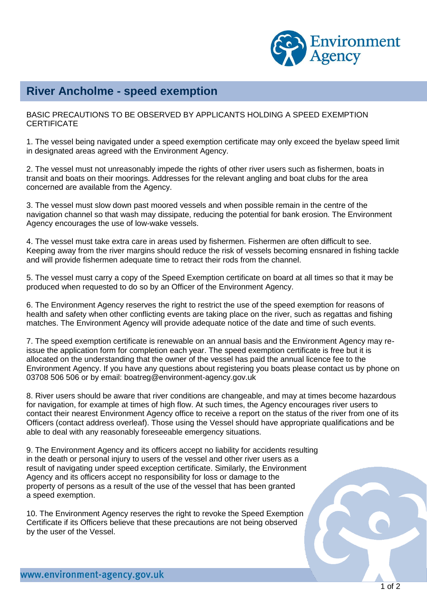

## **River Ancholme - speed exemption**

BASIC PRECAUTIONS TO BE OBSERVED BY APPLICANTS HOLDING A SPEED EXEMPTION **CERTIFICATE** 

1. The vessel being navigated under a speed exemption certificate may only exceed the byelaw speed limit in designated areas agreed with the Environment Agency.

2. The vessel must not unreasonably impede the rights of other river users such as fishermen, boats in transit and boats on their moorings. Addresses for the relevant angling and boat clubs for the area concerned are available from the Agency.

3. The vessel must slow down past moored vessels and when possible remain in the centre of the navigation channel so that wash may dissipate, reducing the potential for bank erosion. The Environment Agency encourages the use of low-wake vessels.

4. The vessel must take extra care in areas used by fishermen. Fishermen are often difficult to see. Keeping away from the river margins should reduce the risk of vessels becoming ensnared in fishing tackle and will provide fishermen adequate time to retract their rods from the channel.

5. The vessel must carry a copy of the Speed Exemption certificate on board at all times so that it may be produced when requested to do so by an Officer of the Environment Agency.

6. The Environment Agency reserves the right to restrict the use of the speed exemption for reasons of health and safety when other conflicting events are taking place on the river, such as regattas and fishing matches. The Environment Agency will provide adequate notice of the date and time of such events.

7. The speed exemption certificate is renewable on an annual basis and the Environment Agency may reissue the application form for completion each year. The speed exemption certificate is free but it is allocated on the understanding that the owner of the vessel has paid the annual licence fee to the Environment Agency. If you have any questions about registering you boats please contact us by phone on 03708 506 506 or by email: boatreg@environment-agency.gov.uk

8. River users should be aware that river conditions are changeable, and may at times become hazardous for navigation, for example at times of high flow. At such times, the Agency encourages river users to contact their nearest Environment Agency office to receive a report on the status of the river from one of its Officers (contact address overleaf). Those using the Vessel should have appropriate qualifications and be able to deal with any reasonably foreseeable emergency situations.

9. The Environment Agency and its officers accept no liability for accidents resulting in the death or personal injury to users of the vessel and other river users as a result of navigating under speed exception certificate. Similarly, the Environment Agency and its officers accept no responsibility for loss or damage to the property of persons as a result of the use of the vessel that has been granted a speed exemption.

10. The Environment Agency reserves the right to revoke the Speed Exemption Certificate if its Officers believe that these precautions are not being observed by the user of the Vessel.